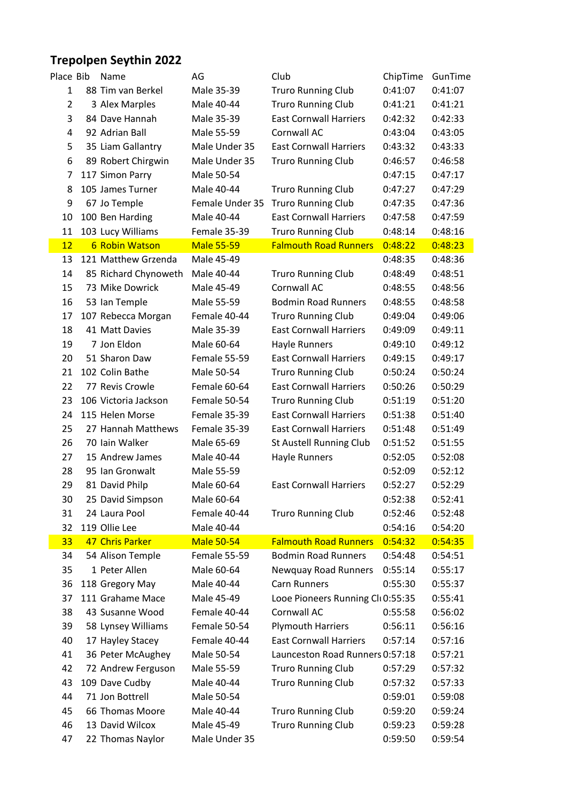## **Trepolpen Seythin 2022**

I

| Place Bib      | Name                  | AG                | Club                             | ChipTime | GunTime |
|----------------|-----------------------|-------------------|----------------------------------|----------|---------|
| $\mathbf{1}$   | 88 Tim van Berkel     | Male 35-39        | <b>Truro Running Club</b>        | 0:41:07  | 0:41:07 |
| $\overline{2}$ | 3 Alex Marples        | Male 40-44        | <b>Truro Running Club</b>        | 0:41:21  | 0:41:21 |
| 3              | 84 Dave Hannah        | Male 35-39        | <b>East Cornwall Harriers</b>    | 0:42:32  | 0:42:33 |
| 4              | 92 Adrian Ball        | Male 55-59        | Cornwall AC                      | 0:43:04  | 0:43:05 |
| 5              | 35 Liam Gallantry     | Male Under 35     | <b>East Cornwall Harriers</b>    | 0:43:32  | 0:43:33 |
| 6              | 89 Robert Chirgwin    | Male Under 35     | <b>Truro Running Club</b>        | 0:46:57  | 0:46:58 |
| 7              | 117 Simon Parry       | Male 50-54        |                                  | 0:47:15  | 0:47:17 |
| 8              | 105 James Turner      | Male 40-44        | <b>Truro Running Club</b>        | 0:47:27  | 0:47:29 |
| 9              | 67 Jo Temple          | Female Under 35   | <b>Truro Running Club</b>        | 0:47:35  | 0:47:36 |
| 10             | 100 Ben Harding       | Male 40-44        | <b>East Cornwall Harriers</b>    | 0:47:58  | 0:47:59 |
| 11             | 103 Lucy Williams     | Female 35-39      | <b>Truro Running Club</b>        | 0:48:14  | 0:48:16 |
| 12             | <b>6 Robin Watson</b> | <b>Male 55-59</b> | <b>Falmouth Road Runners</b>     | 0:48:22  | 0:48:23 |
| 13             | 121 Matthew Grzenda   | Male 45-49        |                                  | 0:48:35  | 0:48:36 |
| 14             | 85 Richard Chynoweth  | Male 40-44        | <b>Truro Running Club</b>        | 0:48:49  | 0:48:51 |
| 15             | 73 Mike Dowrick       | Male 45-49        | Cornwall AC                      | 0:48:55  | 0:48:56 |
|                |                       | Male 55-59        | <b>Bodmin Road Runners</b>       |          |         |
| 16             | 53 Ian Temple         |                   |                                  | 0:48:55  | 0:48:58 |
| 17             | 107 Rebecca Morgan    | Female 40-44      | <b>Truro Running Club</b>        | 0:49:04  | 0:49:06 |
| 18             | 41 Matt Davies        | Male 35-39        | <b>East Cornwall Harriers</b>    | 0:49:09  | 0:49:11 |
| 19             | 7 Jon Eldon           | Male 60-64        | Hayle Runners                    | 0:49:10  | 0:49:12 |
| 20             | 51 Sharon Daw         | Female 55-59      | <b>East Cornwall Harriers</b>    | 0:49:15  | 0:49:17 |
| 21             | 102 Colin Bathe       | Male 50-54        | <b>Truro Running Club</b>        | 0:50:24  | 0:50:24 |
| 22             | 77 Revis Crowle       | Female 60-64      | <b>East Cornwall Harriers</b>    | 0:50:26  | 0:50:29 |
| 23             | 106 Victoria Jackson  | Female 50-54      | <b>Truro Running Club</b>        | 0:51:19  | 0:51:20 |
| 24             | 115 Helen Morse       | Female 35-39      | <b>East Cornwall Harriers</b>    | 0:51:38  | 0:51:40 |
| 25             | 27 Hannah Matthews    | Female 35-39      | <b>East Cornwall Harriers</b>    | 0:51:48  | 0:51:49 |
| 26             | 70 Iain Walker        | Male 65-69        | St Austell Running Club          | 0:51:52  | 0:51:55 |
| 27             | 15 Andrew James       | Male 40-44        | Hayle Runners                    | 0:52:05  | 0:52:08 |
| 28             | 95 Ian Gronwalt       | Male 55-59        |                                  | 0:52:09  | 0:52:12 |
| 29             | 81 David Philp        | Male 60-64        | <b>East Cornwall Harriers</b>    | 0:52:27  | 0:52:29 |
| 30             | 25 David Simpson      | Male 60-64        |                                  | 0:52:38  | 0:52:41 |
| 31             | 24 Laura Pool         | Female 40-44      | <b>Truro Running Club</b>        | 0:52:46  | 0:52:48 |
| 32             | 119 Ollie Lee         | Male 40-44        |                                  | 0:54:16  | 0:54:20 |
| 33             | 47 Chris Parker       | <b>Male 50-54</b> | <b>Falmouth Road Runners</b>     | 0:54:32  | 0:54:35 |
| 34             | 54 Alison Temple      | Female 55-59      | <b>Bodmin Road Runners</b>       | 0:54:48  | 0:54:51 |
| 35             | 1 Peter Allen         | Male 60-64        | Newquay Road Runners             | 0:55:14  | 0:55:17 |
| 36             | 118 Gregory May       | Male 40-44        | Carn Runners                     | 0:55:30  | 0:55:37 |
| 37             | 111 Grahame Mace      | Male 45-49        | Looe Pioneers Running Cl 0:55:35 |          | 0:55:41 |
| 38             | 43 Susanne Wood       | Female 40-44      | Cornwall AC                      | 0:55:58  | 0:56:02 |
| 39             | 58 Lynsey Williams    | Female 50-54      | <b>Plymouth Harriers</b>         | 0:56:11  | 0:56:16 |
| 40             | 17 Hayley Stacey      | Female 40-44      | <b>East Cornwall Harriers</b>    | 0:57:14  | 0:57:16 |
| 41             | 36 Peter McAughey     | Male 50-54        | Launceston Road Runners 0:57:18  |          | 0:57:21 |
| 42             | 72 Andrew Ferguson    | Male 55-59        | <b>Truro Running Club</b>        | 0:57:29  | 0:57:32 |
| 43             | 109 Dave Cudby        | Male 40-44        | <b>Truro Running Club</b>        | 0:57:32  | 0:57:33 |
| 44             | 71 Jon Bottrell       | Male 50-54        |                                  | 0:59:01  | 0:59:08 |
| 45             | 66 Thomas Moore       | Male 40-44        | <b>Truro Running Club</b>        | 0:59:20  | 0:59:24 |
| 46             | 13 David Wilcox       | Male 45-49        | <b>Truro Running Club</b>        | 0:59:23  | 0:59:28 |
| 47             | 22 Thomas Naylor      | Male Under 35     |                                  | 0:59:50  | 0:59:54 |
|                |                       |                   |                                  |          |         |